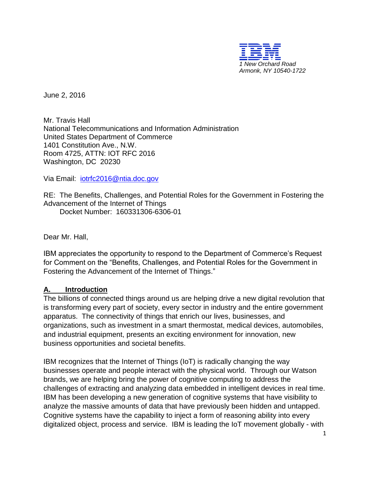

June 2, 2016

Mr. Travis Hall National Telecommunications and Information Administration United States Department of Commerce 1401 Constitution Ave., N.W. Room 4725, ATTN: IOT RFC 2016 Washington, DC 20230

Via Email: [iotrfc2016@ntia.doc.gov](mailto:iotrfc2016@ntia.doc.gov)

RE: The Benefits, Challenges, and Potential Roles for the Government in Fostering the Advancement of the Internet of Things

Docket Number: 160331306-6306-01

Dear Mr. Hall,

IBM appreciates the opportunity to respond to the Department of Commerce's Request for Comment on the "Benefits, Challenges, and Potential Roles for the Government in Fostering the Advancement of the Internet of Things."

#### **A. Introduction**

The billions of connected things around us are helping drive a new digital revolution that is transforming every part of society, every sector in industry and the entire government apparatus. The connectivity of things that enrich our lives, businesses, and organizations, such as investment in a smart thermostat, medical devices, automobiles, and industrial equipment, presents an exciting environment for innovation, new business opportunities and societal benefits.

IBM recognizes that the Internet of Things (IoT) is radically changing the way businesses operate and people interact with the physical world. Through our Watson brands, we are helping bring the power of cognitive computing to address the challenges of extracting and analyzing data embedded in intelligent devices in real time. IBM has been developing a new generation of cognitive systems that have visibility to analyze the massive amounts of data that have previously been hidden and untapped. Cognitive systems have the capability to inject a form of reasoning ability into every digitalized object, process and service. IBM is leading the IoT movement globally - with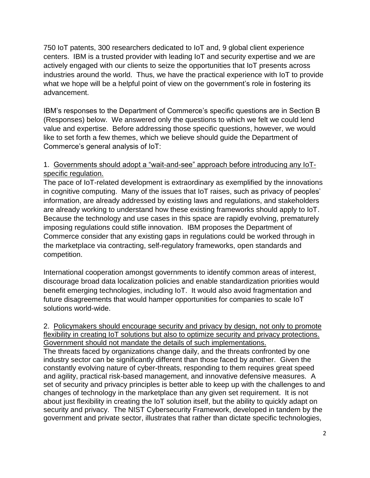750 IoT patents, 300 researchers dedicated to IoT and, 9 global client experience centers. IBM is a trusted provider with leading IoT and security expertise and we are actively engaged with our clients to seize the opportunities that IoT presents across industries around the world. Thus, we have the practical experience with IoT to provide what we hope will be a helpful point of view on the government's role in fostering its advancement.

IBM's responses to the Department of Commerce's specific questions are in Section B (Responses) below. We answered only the questions to which we felt we could lend value and expertise. Before addressing those specific questions, however, we would like to set forth a few themes, which we believe should guide the Department of Commerce's general analysis of IoT:

## 1. Governments should adopt a "wait-and-see" approach before introducing any IoTspecific regulation.

The pace of IoT-related development is extraordinary as exemplified by the innovations in cognitive computing. Many of the issues that IoT raises, such as privacy of peoples' information, are already addressed by existing laws and regulations, and stakeholders are already working to understand how these existing frameworks should apply to IoT. Because the technology and use cases in this space are rapidly evolving, prematurely imposing regulations could stifle innovation. IBM proposes the Department of Commerce consider that any existing gaps in regulations could be worked through in the marketplace via contracting, self-regulatory frameworks, open standards and competition.

International cooperation amongst governments to identify common areas of interest, discourage broad data localization policies and enable standardization priorities would benefit emerging technologies, including IoT. It would also avoid fragmentation and future disagreements that would hamper opportunities for companies to scale IoT solutions world-wide.

2. Policymakers should encourage security and privacy by design, not only to promote flexibility in creating IoT solutions but also to optimize security and privacy protections. Government should not mandate the details of such implementations.

The threats faced by organizations change daily, and the threats confronted by one industry sector can be significantly different than those faced by another. Given the constantly evolving nature of cyber-threats, responding to them requires great speed and agility, practical risk-based management, and innovative defensive measures. A set of security and privacy principles is better able to keep up with the challenges to and changes of technology in the marketplace than any given set requirement. It is not about just flexibility in creating the IoT solution itself, but the ability to quickly adapt on security and privacy. The NIST Cybersecurity Framework, developed in tandem by the government and private sector, illustrates that rather than dictate specific technologies,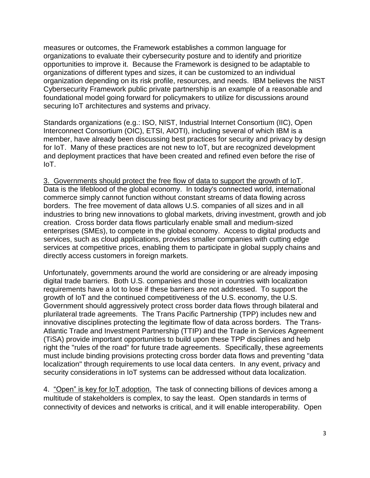measures or outcomes, the Framework establishes a common language for organizations to evaluate their cybersecurity posture and to identify and prioritize opportunities to improve it. Because the Framework is designed to be adaptable to organizations of different types and sizes, it can be customized to an individual organization depending on its risk profile, resources, and needs. IBM believes the NIST Cybersecurity Framework public private partnership is an example of a reasonable and foundational model going forward for policymakers to utilize for discussions around securing IoT architectures and systems and privacy.

Standards organizations (e.g.: ISO, NIST, Industrial Internet Consortium (IIC), Open Interconnect Consortium (OIC), ETSI, AIOTI), including several of which IBM is a member, have already been discussing best practices for security and privacy by design for IoT. Many of these practices are not new to IoT, but are recognized development and deployment practices that have been created and refined even before the rise of IoT.

3. Governments should protect the free flow of data to support the growth of IoT. Data is the lifeblood of the global economy. In today's connected world, international commerce simply cannot function without constant streams of data flowing across borders. The free movement of data allows U.S. companies of all sizes and in all industries to bring new innovations to global markets, driving investment, growth and job creation. Cross border data flows particularly enable small and medium-sized enterprises (SMEs), to compete in the global economy. Access to digital products and services, such as cloud applications, provides smaller companies with cutting edge services at competitive prices, enabling them to participate in global supply chains and directly access customers in foreign markets.

Unfortunately, governments around the world are considering or are already imposing digital trade barriers. Both U.S. companies and those in countries with localization requirements have a lot to lose if these barriers are not addressed. To support the growth of IoT and the continued competitiveness of the U.S. economy, the U.S. Government should aggressively protect cross border data flows through bilateral and plurilateral trade agreements. The Trans Pacific Partnership (TPP) includes new and innovative disciplines protecting the legitimate flow of data across borders. The Trans-Atlantic Trade and Investment Partnership (TTIP) and the Trade in Services Agreement (TiSA) provide important opportunities to build upon these TPP disciplines and help right the "rules of the road" for future trade agreements. Specifically, these agreements must include binding provisions protecting cross border data flows and preventing "data localization" through requirements to use local data centers. In any event, privacy and security considerations in IoT systems can be addressed without data localization.

4. "Open" is key for IoT adoption. The task of connecting billions of devices among a multitude of stakeholders is complex, to say the least. Open standards in terms of connectivity of devices and networks is critical, and it will enable interoperability. Open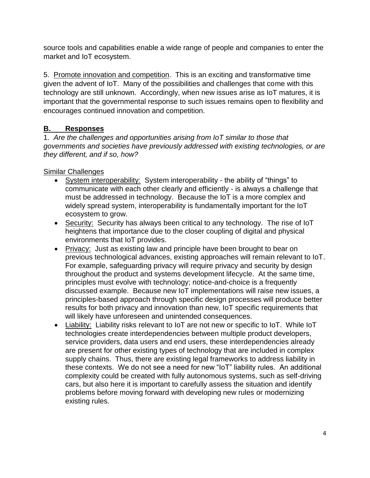source tools and capabilities enable a wide range of people and companies to enter the market and IoT ecosystem.

5. Promote innovation and competition. This is an exciting and transformative time given the advent of IoT. Many of the possibilities and challenges that come with this technology are still unknown. Accordingly, when new issues arise as IoT matures, it is important that the governmental response to such issues remains open to flexibility and encourages continued innovation and competition.

# **B. Responses**

1. *Are the challenges and opportunities arising from IoT similar to those that governments and societies have previously addressed with existing technologies, or are they different, and if so, how?*

# Similar Challenges

- System interoperability: System interoperability the ability of "things" to communicate with each other clearly and efficiently - is always a challenge that must be addressed in technology. Because the IoT is a more complex and widely spread system, interoperability is fundamentally important for the IoT ecosystem to grow.
- Security: Security has always been critical to any technology. The rise of IoT heightens that importance due to the closer coupling of digital and physical environments that IoT provides.
- Privacy: Just as existing law and principle have been brought to bear on previous technological advances, existing approaches will remain relevant to IoT. For example, safeguarding privacy will require privacy and security by design throughout the product and systems development lifecycle. At the same time, principles must evolve with technology; notice-and-choice is a frequently discussed example. Because new IoT implementations will raise new issues, a principles-based approach through specific design processes will produce better results for both privacy and innovation than new, IoT specific requirements that will likely have unforeseen and unintended consequences.
- Liability: Liability risks relevant to IoT are not new or specific to IoT. While IoT technologies create interdependencies between multiple product developers, service providers, data users and end users, these interdependencies already are present for other existing types of technology that are included in complex supply chains. Thus, there are existing legal frameworks to address liability in these contexts. We do not see a need for new "IoT" liability rules. An additional complexity could be created with fully autonomous systems, such as self-driving cars, but also here it is important to carefully assess the situation and identify problems before moving forward with developing new rules or modernizing existing rules.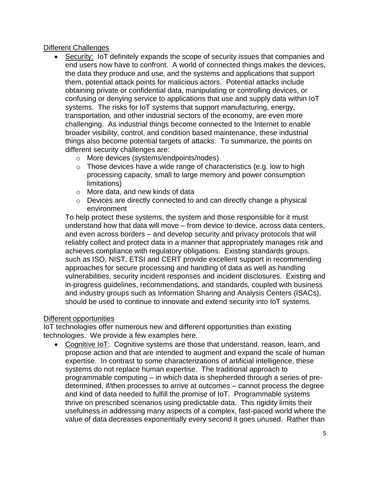## Different Challenges

- Security: IoT definitely expands the scope of security issues that companies and end users now have to confront. A world of connected things makes the devices, the data they produce and use, and the systems and applications that support them, potential attack points for malicious actors. Potential attacks include obtaining private or confidential data, manipulating or controlling devices, or confusing or denying service to applications that use and supply data within IoT systems. The risks for IoT systems that support manufacturing, energy, transportation, and other industrial sectors of the economy, are even more challenging. As industrial things become connected to the Internet to enable broader visibility, control, and condition based maintenance, these industrial things also become potential targets of attacks. To summarize, the points on different security challenges are:
	- o More devices (systems/endpoints/nodes)
	- $\circ$  Those devices have a wide range of characteristics (e.g. low to high processing capacity, small to large memory and power consumption limitations)
	- o More data, and new kinds of data
	- o Devices are directly connected to and can directly change a physical environment

To help protect these systems, the system and those responsible for it must understand how that data will move – from device to device, across data centers, and even across borders – and develop security and privacy protocols that will reliably collect and protect data in a manner that appropriately manages risk and achieves compliance with regulatory obligations. Existing standards groups, such as ISO, NIST, ETSI and CERT provide excellent support in recommending approaches for secure processing and handling of data as well as handling vulnerabilities, security incident responses and incident disclosures. Existing and in-progress guidelines, recommendations, and standards, coupled with business and industry groups such as Information Sharing and Analysis Centers (ISACs), should be used to continue to innovate and extend security into IoT systems.

#### Different opportunities

IoT technologies offer numerous new and different opportunities than existing technologies. We provide a few examples here.

 Cognitive IoT: Cognitive systems are those that understand, reason, learn, and propose action and that are intended to augment and expand the scale of human expertise. In contrast to some characterizations of artificial intelligence, these systems do not replace human expertise. The traditional approach to programmable computing – in which data is shepherded through a series of predetermined, if/then processes to arrive at outcomes – cannot process the degree and kind of data needed to fulfill the promise of IoT. Programmable systems thrive on prescribed scenarios using predictable data. This rigidity limits their usefulness in addressing many aspects of a complex, fast-paced world where the value of data decreases exponentially every second it goes unused. Rather than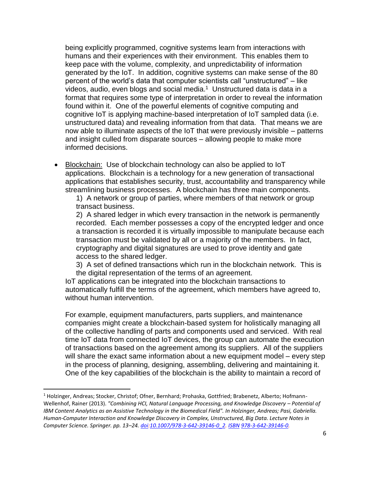being explicitly programmed, cognitive systems learn from interactions with humans and their experiences with their environment. This enables them to keep pace with the volume, complexity, and unpredictability of information generated by the IoT. In addition, cognitive systems can make sense of the 80 percent of the world's data that computer scientists call "unstructured" – like videos, audio, even blogs and social media.<sup>1</sup> Unstructured data is data in a format that requires some type of interpretation in order to reveal the information found within it. One of the powerful elements of cognitive computing and cognitive IoT is applying machine-based interpretation of IoT sampled data (i.e. unstructured data) and revealing information from that data. That means we are now able to illuminate aspects of the IoT that were previously invisible – patterns and insight culled from disparate sources – allowing people to make more informed decisions.

 Blockchain: Use of blockchain technology can also be applied to IoT applications. Blockchain is a technology for a new generation of transactional applications that establishes security, trust, accountability and transparency while streamlining business processes. A blockchain has three main components.

1) A network or group of parties, where members of that network or group transact business.

2) A shared ledger in which every transaction in the network is permanently recorded. Each member possesses a copy of the encrypted ledger and once a transaction is recorded it is virtually impossible to manipulate because each transaction must be validated by all or a majority of the members. In fact, cryptography and digital signatures are used to prove identity and gate access to the shared ledger.

3) A set of defined transactions which run in the blockchain network. This is the digital representation of the terms of an agreement.

IoT applications can be integrated into the blockchain transactions to automatically fulfill the terms of the agreement, which members have agreed to, without human intervention.

For example, equipment manufacturers, parts suppliers, and maintenance companies might create a blockchain-based system for holistically managing all of the collective handling of parts and components used and serviced. With real time IoT data from connected IoT devices, the group can automate the execution of transactions based on the agreement among its suppliers. All of the suppliers will share the exact same information about a new equipment model – every step in the process of planning, designing, assembling, delivering and maintaining it. One of the key capabilities of the blockchain is the ability to maintain a record of

<sup>1</sup> Holzinger, Andreas; Stocker, Christof; Ofner, Bernhard; Prohaska, Gottfried; Brabenetz, Alberto; Hofmann-Wellenhof, Rainer (2013). "Combining HCI, Natural Language Processing, and Knowledge Discovery - Potential of *IBM Content Analytics as an Assistive Technology in the Biomedical Field". In Holzinger, Andreas; Pasi, Gabriella. Human-Computer Interaction and Knowledge Discovery in Complex, Unstructured, Big Data. Lecture Notes in Computer Science. Springer. pp. 13–24. [doi:](https://en.wikipedia.org/wiki/Digital_object_identifier)[10.1007/978-3-642-39146-0\\_2.](https://dx.doi.org/10.1007%2F978-3-642-39146-0_2) [ISBN](https://en.wikipedia.org/wiki/International_Standard_Book_Number) [978-3-642-39146-0.](https://en.wikipedia.org/wiki/Special:BookSources/978-3-642-39146-0)*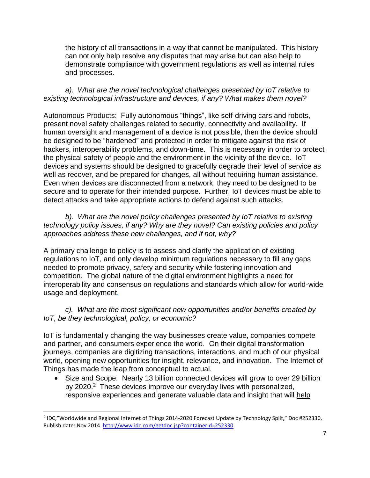the history of all transactions in a way that cannot be manipulated. This history can not only help resolve any disputes that may arise but can also help to demonstrate compliance with government regulations as well as internal rules and processes.

*a). What are the novel technological challenges presented by IoT relative to existing technological infrastructure and devices, if any? What makes them novel?* 

Autonomous Products: Fully autonomous "things", like self-driving cars and robots, present novel safety challenges related to security, connectivity and availability. If human oversight and management of a device is not possible, then the device should be designed to be "hardened" and protected in order to mitigate against the risk of hackers, interoperability problems, and down-time. This is necessary in order to protect the physical safety of people and the environment in the vicinity of the device. IoT devices and systems should be designed to gracefully degrade their level of service as well as recover, and be prepared for changes, all without requiring human assistance. Even when devices are disconnected from a network, they need to be designed to be secure and to operate for their intended purpose. Further, IoT devices must be able to detect attacks and take appropriate actions to defend against such attacks.

*b). What are the novel policy challenges presented by IoT relative to existing technology policy issues, if any? Why are they novel? Can existing policies and policy approaches address these new challenges, and if not, why?*

A primary challenge to policy is to assess and clarify the application of existing regulations to IoT, and only develop minimum regulations necessary to fill any gaps needed to promote privacy, safety and security while fostering innovation and competition. The global nature of the digital environment highlights a need for interoperability and consensus on regulations and standards which allow for world-wide usage and deployment.

*c). What are the most significant new opportunities and/or benefits created by IoT, be they technological, policy, or economic?*

IoT is fundamentally changing the way businesses create value, companies compete and partner, and consumers experience the world. On their digital transformation journeys, companies are digitizing transactions, interactions, and much of our physical world, opening new opportunities for insight, relevance, and innovation. The Internet of Things has made the leap from conceptual to actual.

• Size and Scope: Nearly 13 billion connected devices will grow to over 29 billion by 2020.<sup>2</sup> These devices improve our everyday lives with personalized, responsive experiences and generate valuable data and insight that will help

l

<sup>&</sup>lt;sup>2</sup> IDC,"Worldwide and Regional Internet of Things 2014-2020 Forecast Update by Technology Split," Doc #252330, Publish date: Nov 2014. <http://www.idc.com/getdoc.jsp?containerId=252330>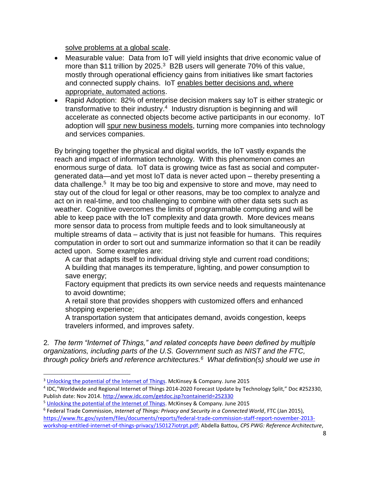solve problems at a global scale.

- Measurable value: Data from IoT will yield insights that drive economic value of more than \$11 trillion by 2025.<sup>3</sup> B2B users will generate 70% of this value, mostly through operational efficiency gains from initiatives like smart factories and connected supply chains. IoT enables better decisions and, where appropriate, automated actions.
- Rapid Adoption: 82% of enterprise decision makers say IoT is either strategic or transformative to their industry.<sup>4</sup> Industry disruption is beginning and will accelerate as connected objects become active participants in our economy. IoT adoption will spur new business models, turning more companies into technology and services companies.

By bringing together the physical and digital worlds, the IoT vastly expands the reach and impact of information technology. With this phenomenon comes an enormous surge of data. IoT data is growing twice as fast as social and computergenerated data—and yet most IoT data is never acted upon – thereby presenting a data challenge. 5 It may be too big and expensive to store and move, may need to stay out of the cloud for legal or other reasons, may be too complex to analyze and act on in real-time, and too challenging to combine with other data sets such as weather. Cognitive overcomes the limits of programmable computing and will be able to keep pace with the IoT complexity and data growth. More devices means more sensor data to process from multiple feeds and to look simultaneously at multiple streams of data – activity that is just not feasible for humans. This requires computation in order to sort out and summarize information so that it can be readily acted upon. Some examples are:

A car that adapts itself to individual driving style and current road conditions; A building that manages its temperature, lighting, and power consumption to save energy;

Factory equipment that predicts its own service needs and requests maintenance to avoid downtime;

A retail store that provides shoppers with customized offers and enhanced shopping experience;

A transportation system that anticipates demand, avoids congestion, keeps travelers informed, and improves safety.

2*. The term "Internet of Things," and related concepts have been defined by multiple organizations, including parts of the U.S. Government such as NIST and the FTC, through policy briefs and reference architectures.<sup>6</sup> What definition(s) should we use in* 

 $\overline{\phantom{a}}$ 

6 Federal Trade Commission, *Internet of Things: Privacy and Security in a Connected World*, FTC (Jan 2015),

[https://www.ftc.gov/system/files/documents/reports/federal-trade-commission-staff-report-november-2013](https://www.ftc.gov/system/files/documents/reports/federal-trade-commission-staff-report-november-2013-workshop-entitled-internet-of-things-privacy/150127iotrpt.pdf) [workshop-entitled-internet-of-things-privacy/150127iotrpt.pdf;](https://www.ftc.gov/system/files/documents/reports/federal-trade-commission-staff-report-november-2013-workshop-entitled-internet-of-things-privacy/150127iotrpt.pdf) Abdella Battou, *CPS PWG: Reference Architecture*,

<sup>&</sup>lt;sup>3</sup> [Unlocking the potential of the Internet of Things.](http://www.mckinsey.com/insights/business_technology/the_internet_of_things_the_value_of_digitizing_the_physical_world) McKinsey & Company. June 2015

<sup>4</sup> IDC,"Worldwide and Regional Internet of Things 2014-2020 Forecast Update by Technology Split," Doc #252330, Publish date: Nov 2014[. http://www.idc.com/getdoc.jsp?containerId=252330](http://www.idc.com/getdoc.jsp?containerId=252330)

<sup>5</sup> [Unlocking the potential of the Internet of Things.](http://www.mckinsey.com/insights/business_technology/the_internet_of_things_the_value_of_digitizing_the_physical_world) McKinsey & Company. June 2015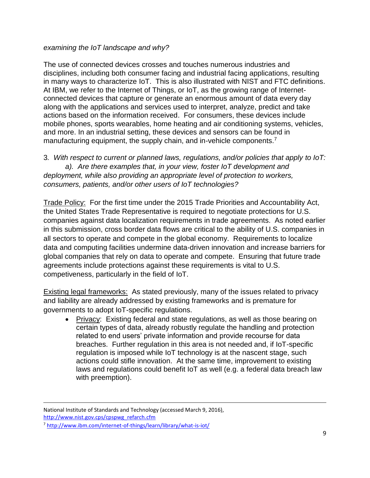#### *examining the IoT landscape and why?*

The use of connected devices crosses and touches numerous industries and disciplines, including both consumer facing and industrial facing applications, resulting in many ways to characterize IoT. This is also illustrated with NIST and FTC definitions. At IBM, we refer to the Internet of Things, or IoT, as the growing range of Internetconnected devices that capture or generate an enormous amount of data every day along with the applications and services used to interpret, analyze, predict and take actions based on the information received. For consumers, these devices include mobile phones, sports wearables, home heating and air conditioning systems, vehicles, and more. In an industrial setting, these devices and sensors can be found in manufacturing equipment, the supply chain, and in-vehicle components.<sup>7</sup>

3*. With respect to current or planned laws, regulations, and/or policies that apply to IoT: a). Are there examples that, in your view, foster IoT development and deployment, while also providing an appropriate level of protection to workers, consumers, patients, and/or other users of IoT technologies?*

Trade Policy: For the first time under the 2015 Trade Priorities and Accountability Act, the United States Trade Representative is required to negotiate protections for U.S. companies against data localization requirements in trade agreements. As noted earlier in this submission, cross border data flows are critical to the ability of U.S. companies in all sectors to operate and compete in the global economy. Requirements to localize data and computing facilities undermine data-driven innovation and increase barriers for global companies that rely on data to operate and compete. Ensuring that future trade agreements include protections against these requirements is vital to U.S. competiveness, particularly in the field of IoT.

Existing legal frameworks: As stated previously, many of the issues related to privacy and liability are already addressed by existing frameworks and is premature for governments to adopt IoT-specific regulations.

 Privacy: Existing federal and state regulations, as well as those bearing on certain types of data, already robustly regulate the handling and protection related to end users' private information and provide recourse for data breaches. Further regulation in this area is not needed and, if IoT-specific regulation is imposed while IoT technology is at the nascent stage, such actions could stifle innovation. At the same time, improvement to existing laws and regulations could benefit IoT as well (e.g. a federal data breach law with preemption).

National Institute of Standards and Technology (accessed March 9, 2016), [http://www.nist.gov.cps/cpspwg\\_refarch.cfm](http://www.nist.gov.cps/cpspwg_refarch.cfm)

<sup>7</sup> <http://www.ibm.com/internet-of-things/learn/library/what-is-iot/>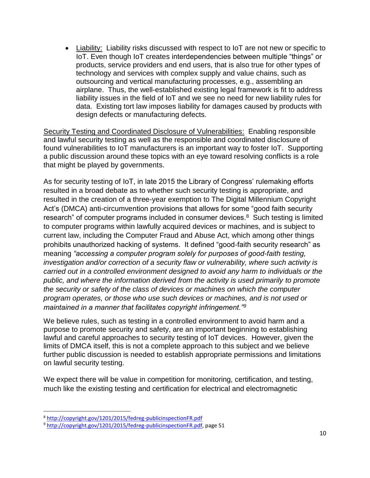Liability: Liability risks discussed with respect to IoT are not new or specific to IoT. Even though IoT creates interdependencies between multiple "things" or products, service providers and end users, that is also true for other types of technology and services with complex supply and value chains, such as outsourcing and vertical manufacturing processes, e.g., assembling an airplane. Thus, the well-established existing legal framework is fit to address liability issues in the field of IoT and we see no need for new liability rules for data. Existing tort law imposes liability for damages caused by products with design defects or manufacturing defects.

Security Testing and Coordinated Disclosure of Vulnerabilities: Enabling responsible and lawful security testing as well as the responsible and coordinated disclosure of found vulnerabilities to IoT manufacturers is an important way to foster IoT. Supporting a public discussion around these topics with an eye toward resolving conflicts is a role that might be played by governments.

As for security testing of IoT, in late 2015 the Library of Congress' rulemaking efforts resulted in a broad debate as to whether such security testing is appropriate, and resulted in the creation of a three-year exemption to The Digital Millennium Copyright Act's (DMCA) anti-circumvention provisions that allows for some "good faith security research" of computer programs included in consumer devices.<sup>8</sup> Such testing is limited to computer programs within lawfully acquired devices or machines, and is subject to current law, including the Computer Fraud and Abuse Act, which among other things prohibits unauthorized hacking of systems. It defined "good-faith security research" as meaning *"accessing a computer program solely for purposes of good-faith testing, investigation and/or correction of a security flaw or vulnerability, where such activity is carried out in a controlled environment designed to avoid any harm to individuals or the public, and where the information derived from the activity is used primarily to promote the security or safety of the class of devices or machines on which the computer program operates, or those who use such devices or machines, and is not used or maintained in a manner that facilitates copyright infringement."<sup>9</sup>*

We believe rules, such as testing in a controlled environment to avoid harm and a purpose to promote security and safety, are an important beginning to establishing lawful and careful approaches to security testing of IoT devices. However, given the limits of DMCA itself, this is not a complete approach to this subject and we believe further public discussion is needed to establish appropriate permissions and limitations on lawful security testing.

We expect there will be value in competition for monitoring, certification, and testing, much like the existing testing and certification for electrical and electromagnetic

l

<sup>8</sup> <http://copyright.gov/1201/2015/fedreg-publicinspectionFR.pdf>

<sup>9</sup> [http://copyright.gov/1201/2015/fedreg-publicinspectionFR.pdf,](http://copyright.gov/1201/2015/fedreg-publicinspectionFR.pdf) page 51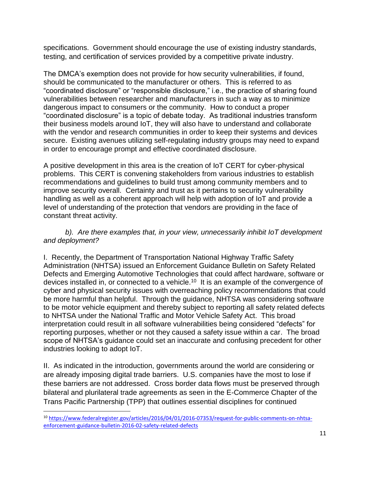specifications. Government should encourage the use of existing industry standards, testing, and certification of services provided by a competitive private industry.

The DMCA's exemption does not provide for how security vulnerabilities, if found, should be communicated to the manufacturer or others. This is referred to as "coordinated disclosure" or "responsible disclosure," i.e., the practice of sharing found vulnerabilities between researcher and manufacturers in such a way as to minimize dangerous impact to consumers or the community. How to conduct a proper "coordinated disclosure" is a topic of debate today. As traditional industries transform their business models around IoT, they will also have to understand and collaborate with the vendor and research communities in order to keep their systems and devices secure. Existing avenues utilizing self-regulating industry groups may need to expand in order to encourage prompt and effective coordinated disclosure.

A positive development in this area is the creation of IoT CERT for cyber-physical problems. This CERT is convening stakeholders from various industries to establish recommendations and guidelines to build trust among community members and to improve security overall. Certainty and trust as it pertains to security vulnerability handling as well as a coherent approach will help with adoption of IoT and provide a level of understanding of the protection that vendors are providing in the face of constant threat activity.

## b). Are there examples that, in your view, unnecessarily inhibit IoT development *and deployment?*

I. Recently, the Department of Transportation National Highway Traffic Safety Administration (NHTSA) issued an Enforcement Guidance Bulletin on Safety Related Defects and Emerging Automotive Technologies that could affect hardware, software or devices installed in, or connected to a vehicle.<sup>10</sup> It is an example of the convergence of cyber and physical security issues with overreaching policy recommendations that could be more harmful than helpful. Through the guidance, NHTSA was considering software to be motor vehicle equipment and thereby subject to reporting all safety related defects to NHTSA under the National Traffic and Motor Vehicle Safety Act. This broad interpretation could result in all software vulnerabilities being considered "defects" for reporting purposes, whether or not they caused a safety issue within a car. The broad scope of NHTSA's guidance could set an inaccurate and confusing precedent for other industries looking to adopt IoT.

II. As indicated in the introduction, governments around the world are considering or are already imposing digital trade barriers. U.S. companies have the most to lose if these barriers are not addressed. Cross border data flows must be preserved through bilateral and plurilateral trade agreements as seen in the E-Commerce Chapter of the Trans Pacific Partnership (TPP) that outlines essential disciplines for continued

l

<sup>10</sup> [https://www.federalregister.gov/articles/2016/04/01/2016-07353/request-for-public-comments-on-nhtsa](http://www.itic.org/servlets/emailLink?uuid=a841a822-4c37-4580-b367-0abde9642294)[enforcement-guidance-bulletin-2016-02-safety-related-defects](http://www.itic.org/servlets/emailLink?uuid=a841a822-4c37-4580-b367-0abde9642294)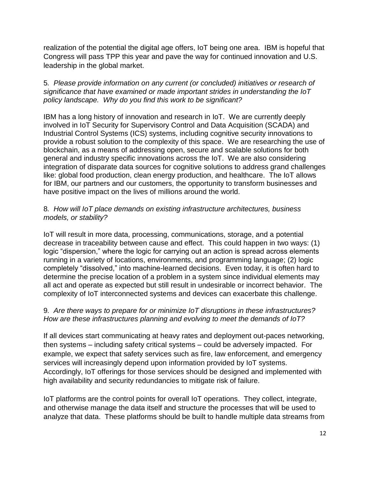realization of the potential the digital age offers, IoT being one area. IBM is hopeful that Congress will pass TPP this year and pave the way for continued innovation and U.S. leadership in the global market.

## 5*. Please provide information on any current (or concluded) initiatives or research of significance that have examined or made important strides in understanding the IoT policy landscape. Why do you find this work to be significant?*

IBM has a long history of innovation and research in IoT. We are currently deeply involved in IoT Security for Supervisory Control and Data Acquisition (SCADA) and Industrial Control Systems (ICS) systems, including cognitive security innovations to provide a robust solution to the complexity of this space. We are researching the use of blockchain, as a means of addressing open, secure and scalable solutions for both general and industry specific innovations across the IoT. We are also considering integration of disparate data sources for cognitive solutions to address grand challenges like: global food production, clean energy production, and healthcare. The IoT allows for IBM, our partners and our customers, the opportunity to transform businesses and have positive impact on the lives of millions around the world.

## 8*. How will IoT place demands on existing infrastructure architectures, business models, or stability?*

IoT will result in more data, processing, communications, storage, and a potential decrease in traceability between cause and effect. This could happen in two ways: (1) logic "dispersion," where the logic for carrying out an action is spread across elements running in a variety of locations, environments, and programming language; (2) logic completely "dissolved," into machine-learned decisions. Even today, it is often hard to determine the precise location of a problem in a system since individual elements may all act and operate as expected but still result in undesirable or incorrect behavior. The complexity of IoT interconnected systems and devices can exacerbate this challenge.

## 9*. Are there ways to prepare for or minimize IoT disruptions in these infrastructures? How are these infrastructures planning and evolving to meet the demands of IoT?*

If all devices start communicating at heavy rates and deployment out-paces networking, then systems – including safety critical systems – could be adversely impacted. For example, we expect that safety services such as fire, law enforcement, and emergency services will increasingly depend upon information provided by IoT systems. Accordingly, IoT offerings for those services should be designed and implemented with high availability and security redundancies to mitigate risk of failure.

IoT platforms are the control points for overall IoT operations. They collect, integrate, and otherwise manage the data itself and structure the processes that will be used to analyze that data. These platforms should be built to handle multiple data streams from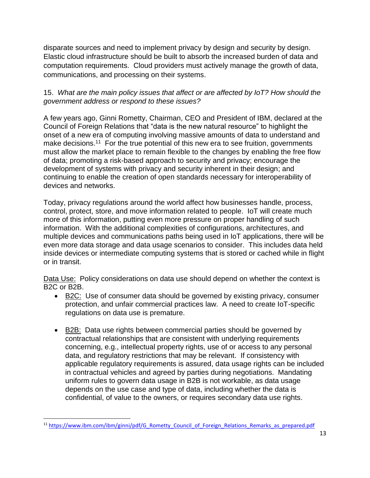disparate sources and need to implement privacy by design and security by design. Elastic cloud infrastructure should be built to absorb the increased burden of data and computation requirements. Cloud providers must actively manage the growth of data, communications, and processing on their systems.

## 15. *What are the main policy issues that affect or are affected by IoT? How should the government address or respond to these issues?*

A few years ago, Ginni Rometty, Chairman, CEO and President of IBM, declared at the Council of Foreign Relations that "data is the new natural resource" to highlight the onset of a new era of computing involving massive amounts of data to understand and make decisions.<sup>11</sup> For the true potential of this new era to see fruition, governments must allow the market place to remain flexible to the changes by enabling the free flow of data; promoting a risk-based approach to security and privacy; encourage the development of systems with privacy and security inherent in their design; and continuing to enable the creation of open standards necessary for interoperability of devices and networks.

Today, privacy regulations around the world affect how businesses handle, process, control, protect, store, and move information related to people. IoT will create much more of this information, putting even more pressure on proper handling of such information. With the additional complexities of configurations, architectures, and multiple devices and communications paths being used in IoT applications, there will be even more data storage and data usage scenarios to consider. This includes data held inside devices or intermediate computing systems that is stored or cached while in flight or in transit.

Data Use: Policy considerations on data use should depend on whether the context is B2C or B2B.

- B2C: Use of consumer data should be governed by existing privacy, consumer protection, and unfair commercial practices law. A need to create IoT-specific regulations on data use is premature.
- B2B: Data use rights between commercial parties should be governed by contractual relationships that are consistent with underlying requirements concerning, e.g., intellectual property rights, use of or access to any personal data, and regulatory restrictions that may be relevant. If consistency with applicable regulatory requirements is assured, data usage rights can be included in contractual vehicles and agreed by parties during negotiations. Mandating uniform rules to govern data usage in B2B is not workable, as data usage depends on the use case and type of data, including whether the data is confidential, of value to the owners, or requires secondary data use rights.

<sup>&</sup>lt;sup>11</sup> [https://www.ibm.com/ibm/ginni/pdf/G\\_Rometty\\_Council\\_of\\_Foreign\\_Relations\\_Remarks\\_as\\_prepared.pdf](https://www.ibm.com/ibm/ginni/pdf/G_Rometty_Council_of_Foreign_Relations_Remarks_as_prepared.pdf)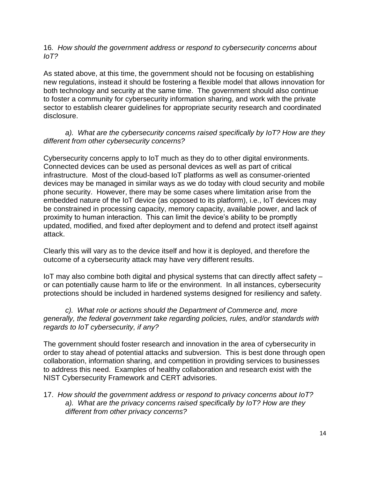16*. How should the government address or respond to cybersecurity concerns about IoT?*

As stated above, at this time, the government should not be focusing on establishing new regulations, instead it should be fostering a flexible model that allows innovation for both technology and security at the same time. The government should also continue to foster a community for cybersecurity information sharing, and work with the private sector to establish clearer guidelines for appropriate security research and coordinated disclosure.

## *a). What are the cybersecurity concerns raised specifically by IoT? How are they different from other cybersecurity concerns?*

Cybersecurity concerns apply to IoT much as they do to other digital environments. Connected devices can be used as personal devices as well as part of critical infrastructure. Most of the cloud-based IoT platforms as well as consumer-oriented devices may be managed in similar ways as we do today with cloud security and mobile phone security. However, there may be some cases where limitation arise from the embedded nature of the IoT device (as opposed to its platform), i.e., IoT devices may be constrained in processing capacity, memory capacity, available power, and lack of proximity to human interaction. This can limit the device's ability to be promptly updated, modified, and fixed after deployment and to defend and protect itself against attack.

Clearly this will vary as to the device itself and how it is deployed, and therefore the outcome of a cybersecurity attack may have very different results.

IoT may also combine both digital and physical systems that can directly affect safety – or can potentially cause harm to life or the environment. In all instances, cybersecurity protections should be included in hardened systems designed for resiliency and safety.

### *c). What role or actions should the Department of Commerce and, more generally, the federal government take regarding policies, rules, and/or standards with regards to IoT cybersecurity, if any?*

The government should foster research and innovation in the area of cybersecurity in order to stay ahead of potential attacks and subversion. This is best done through open collaboration, information sharing, and competition in providing services to businesses to address this need. Examples of healthy collaboration and research exist with the NIST Cybersecurity Framework and CERT advisories.

17. *How should the government address or respond to privacy concerns about IoT? a). What are the privacy concerns raised specifically by IoT? How are they different from other privacy concerns?*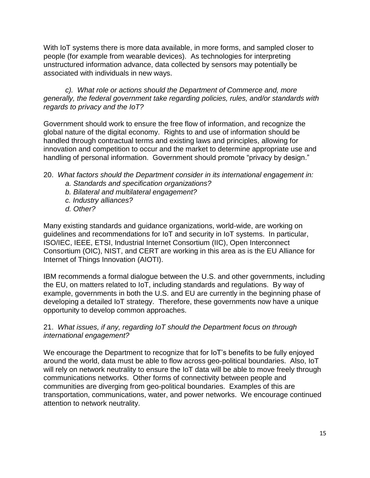With IoT systems there is more data available, in more forms, and sampled closer to people (for example from wearable devices). As technologies for interpreting unstructured information advance, data collected by sensors may potentially be associated with individuals in new ways.

*c). What role or actions should the Department of Commerce and, more generally, the federal government take regarding policies, rules, and/or standards with regards to privacy and the IoT?*

Government should work to ensure the free flow of information, and recognize the global nature of the digital economy. Rights to and use of information should be handled through contractual terms and existing laws and principles, allowing for innovation and competition to occur and the market to determine appropriate use and handling of personal information. Government should promote "privacy by design."

- 20. *What factors should the Department consider in its international engagement in:*
	- *a. Standards and specification organizations?*
	- *b. Bilateral and multilateral engagement?*
	- *c. Industry alliances?*
	- *d. Other?*

Many existing standards and guidance organizations, world-wide, are working on guidelines and recommendations for IoT and security in IoT systems. In particular, ISO/IEC, IEEE, ETSI, Industrial Internet Consortium (IIC), Open Interconnect Consortium (OIC), NIST, and CERT are working in this area as is the EU Alliance for Internet of Things Innovation (AIOTI).

IBM recommends a formal dialogue between the U.S. and other governments, including the EU, on matters related to IoT, including standards and regulations. By way of example, governments in both the U.S. and EU are currently in the beginning phase of developing a detailed IoT strategy. Therefore, these governments now have a unique opportunity to develop common approaches.

## 21. *What issues, if any, regarding IoT should the Department focus on through international engagement?*

We encourage the Department to recognize that for IoT's benefits to be fully enjoyed around the world, data must be able to flow across geo-political boundaries. Also, IoT will rely on network neutrality to ensure the IoT data will be able to move freely through communications networks. Other forms of connectivity between people and communities are diverging from geo-political boundaries. Examples of this are transportation, communications, water, and power networks. We encourage continued attention to network neutrality.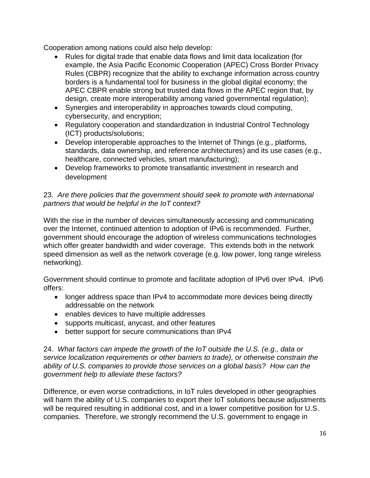Cooperation among nations could also help develop:

- Rules for digital trade that enable data flows and limit data localization (for example, the Asia Pacific Economic Cooperation (APEC) Cross Border Privacy Rules (CBPR) recognize that the ability to exchange information across country borders is a fundamental tool for business in the global digital economy; the APEC CBPR enable strong but trusted data flows in the APEC region that, by design, create more interoperability among varied governmental regulation);
- Synergies and interoperability in approaches towards cloud computing, cybersecurity, and encryption;
- Regulatory cooperation and standardization in Industrial Control Technology (ICT) products/solutions;
- Develop interoperable approaches to the Internet of Things (e.g., platforms, standards, data ownership, and reference architectures) and its use cases (e.g., healthcare, connected vehicles, smart manufacturing);
- Develop frameworks to promote transatlantic investment in research and development

# 23. *Are there policies that the government should seek to promote with international partners that would be helpful in the IoT context?*

With the rise in the number of devices simultaneously accessing and communicating over the Internet, continued attention to adoption of IPv6 is recommended. Further, government should encourage the adoption of wireless communications technologies which offer greater bandwidth and wider coverage. This extends both in the network speed dimension as well as the network coverage (e.g. low power, long range wireless networking).

Government should continue to promote and facilitate adoption of IPv6 over IPv4. IPv6 offers:

- longer address space than IPv4 to accommodate more devices being directly addressable on the network
- enables devices to have multiple addresses
- supports multicast, anycast, and other features
- better support for secure communications than IPv4

#### 24. *What factors can impede the growth of the IoT outside the U.S. (e.g., data or service localization requirements or other barriers to trade), or otherwise constrain the ability of U.S. companies to provide those services on a global basis? How can the government help to alleviate these factors?*

Difference, or even worse contradictions, in IoT rules developed in other geographies will harm the ability of U.S. companies to export their IoT solutions because adjustments will be required resulting in additional cost, and in a lower competitive position for U.S. companies. Therefore, we strongly recommend the U.S. government to engage in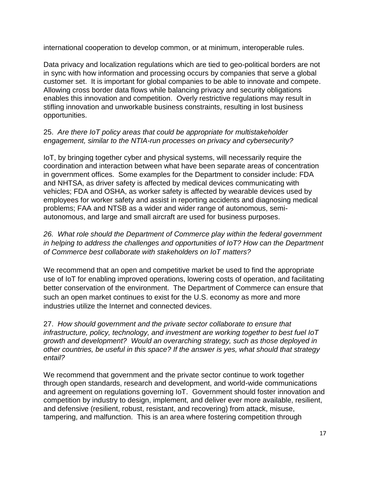international cooperation to develop common, or at minimum, interoperable rules.

Data privacy and localization regulations which are tied to geo-political borders are not in sync with how information and processing occurs by companies that serve a global customer set. It is important for global companies to be able to innovate and compete. Allowing cross border data flows while balancing privacy and security obligations enables this innovation and competition. Overly restrictive regulations may result in stifling innovation and unworkable business constraints, resulting in lost business opportunities.

## 25. *Are there IoT policy areas that could be appropriate for multistakeholder engagement, similar to the NTIA-run processes on privacy and cybersecurity?*

IoT, by bringing together cyber and physical systems, will necessarily require the coordination and interaction between what have been separate areas of concentration in government offices. Some examples for the Department to consider include: FDA and NHTSA, as driver safety is affected by medical devices communicating with vehicles; FDA and OSHA, as worker safety is affected by wearable devices used by employees for worker safety and assist in reporting accidents and diagnosing medical problems; FAA and NTSB as a wider and wider range of autonomous, semiautonomous, and large and small aircraft are used for business purposes.

26. What role should the Department of Commerce play within the federal government *in helping to address the challenges and opportunities of IoT? How can the Department of Commerce best collaborate with stakeholders on IoT matters?*

We recommend that an open and competitive market be used to find the appropriate use of IoT for enabling improved operations, lowering costs of operation, and facilitating better conservation of the environment. The Department of Commerce can ensure that such an open market continues to exist for the U.S. economy as more and more industries utilize the Internet and connected devices.

27. *How should government and the private sector collaborate to ensure that infrastructure, policy, technology, and investment are working together to best fuel IoT growth and development? Would an overarching strategy, such as those deployed in other countries, be useful in this space? If the answer is yes, what should that strategy entail?*

We recommend that government and the private sector continue to work together through open standards, research and development, and world-wide communications and agreement on regulations governing IoT. Government should foster innovation and competition by industry to design, implement, and deliver ever more available, resilient, and defensive (resilient, robust, resistant, and recovering) from attack, misuse, tampering, and malfunction. This is an area where fostering competition through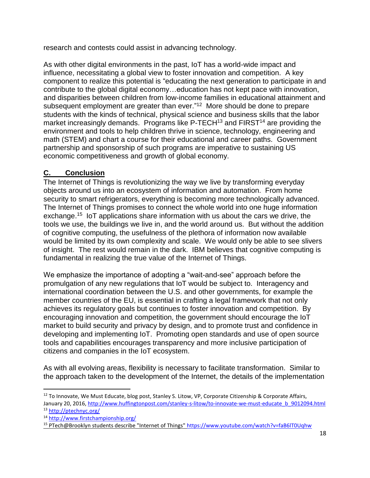research and contests could assist in advancing technology.

As with other digital environments in the past, IoT has a world-wide impact and influence, necessitating a global view to foster innovation and competition. A key component to realize this potential is "educating the next generation to participate in and contribute to the global digital economy…education has not kept pace with innovation, and disparities between children from low-income families in educational attainment and subsequent employment are greater than ever." 12 More should be done to prepare students with the kinds of technical, physical science and business skills that the labor market increasingly demands. Programs like  $P$ -TECH<sup>13</sup> and FIRST<sup>14</sup> are providing the environment and tools to help children thrive in science, technology, engineering and math (STEM) and chart a course for their educational and career paths. Government partnership and sponsorship of such programs are imperative to sustaining US economic competitiveness and growth of global economy.

# **C. Conclusion**

The Internet of Things is revolutionizing the way we live by transforming everyday objects around us into an ecosystem of information and automation. From home security to smart refrigerators, everything is becoming more technologically advanced. The Internet of Things promises to connect the whole world into one huge information exchange.<sup>15</sup> IoT applications share information with us about the cars we drive, the tools we use, the buildings we live in, and the world around us. But without the addition of cognitive computing, the usefulness of the plethora of information now available would be limited by its own complexity and scale. We would only be able to see slivers of insight. The rest would remain in the dark. IBM believes that cognitive computing is fundamental in realizing the true value of the Internet of Things.

We emphasize the importance of adopting a "wait-and-see" approach before the promulgation of any new regulations that IoT would be subject to. Interagency and international coordination between the U.S. and other governments, for example the member countries of the EU, is essential in crafting a legal framework that not only achieves its regulatory goals but continues to foster innovation and competition. By encouraging innovation and competition, the government should encourage the IoT market to build security and privacy by design, and to promote trust and confidence in developing and implementing IoT. Promoting open standards and use of open source tools and capabilities encourages transparency and more inclusive participation of citizens and companies in the IoT ecosystem.

As with all evolving areas, flexibility is necessary to facilitate transformation. Similar to the approach taken to the development of the Internet, the details of the implementation

 $12$  To Innovate, We Must Educate, blog post, Stanley S. Litow, VP, Corporate Citizenship & Corporate Affairs, January 20, 2016[, http://www.huffingtonpost.com/stanley-s-litow/to-innovate-we-must-educate\\_b\\_9012094.html](http://www.huffingtonpost.com/stanley-s-litow/to-innovate-we-must-educate_b_9012094.html) <sup>13</sup> <http://ptechnyc.org/>

<sup>14</sup> <http://www.firstchampionship.org/>

<sup>15</sup> PTech@Brooklyn students describe "Internet of Things"<https://www.youtube.com/watch?v=faB6lT0Uqhw>